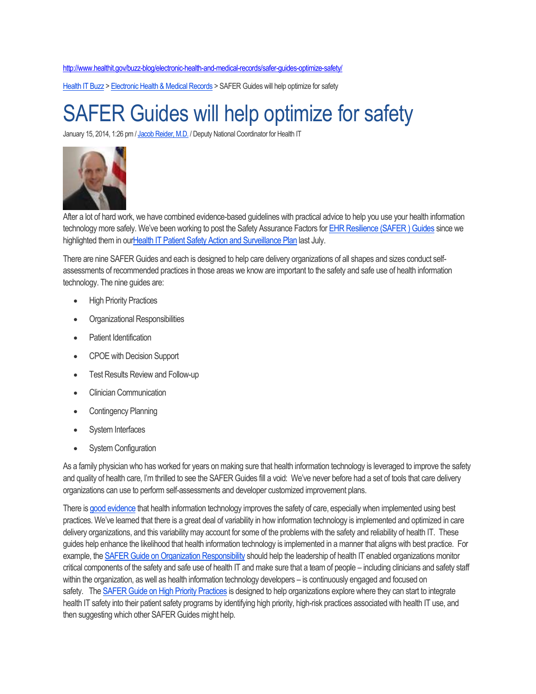<http://www.healthit.gov/buzz-blog/electronic-health-and-medical-records/safer-guides-optimize-safety/>

[Health IT Buzz](http://www.healthit.gov/buzz-blog) > [Electronic Health & Medical Records](http://www.healthit.gov/buzz-blog/category/electronic-health-and-medical-records/) > SAFER Guides will help optimize for safety

## SAFER Guides will help optimize for safety

January 15, 2014, 1:26 pm / [Jacob Reider, M.D.](http://www.healthit.gov/buzz-blog/author/jacob-reider/) / Deputy National Coordinator for Health IT



After a lot of hard work, we have combined evidence-based guidelines with practical advice to help you use your health information technology more safely. We've been working to post the Safety Assurance Factors for [EHR Resilience \(SAFER \) Guides](http://www.healthit.gov/policy-researchers-implementers/safer) since we highlighted them in ou[rHealth IT Patient Safety Action and Surveillance Plan](http://www.healthit.gov/policy-researchers-implementers/health-it-and-patient-safety) last July.

There are nine SAFER Guides and each is designed to help care delivery organizations of all shapes and sizes conduct selfassessments of recommended practices in those areas we know are important to the safety and safe use of health information technology. The nine guides are:

- High Priority Practices
- Organizational Responsibilities
- Patient Identification
- CPOE with Decision Support
- Test Results Review and Follow-up
- Clinician Communication
- Contingency Planning
- System Interfaces
- System Configuration

As a family physician who has worked for years on making sure that health information technology is leveraged to improve the safety and quality of health care, I'm thrilled to see the SAFER Guides fill a void: We've never before had a set of tools that care delivery organizations can use to perform self-assessments and developer customized improvement plans.

There is [good evidence](http://annals.org/article.aspx?articleid=1811028&resultClick=3) that health information technology improves the safety of care, especially when implemented using best practices. We've learned that there is a great deal of variability in how information technology is implemented and optimized in care delivery organizations, and this variability may account for some of the problems with the safety and reliability of health IT. These guides help enhance the likelihood that health information technology is implemented in a manner that aligns with best practice. For example, the [SAFER Guide on Organization Responsibility](http://www.healthit.gov/sites/default/files/safer/pdfs/safer_organizationalresponsibilities_sg002_form_0.pdf) should help the leadership of health IT enabled organizations monitor critical components of the safety and safe use of health IT and make sure that a team of people – including clinicians and safety staff within the organization, as well as health information technology developers – is continuously engaged and focused on safety. The [SAFER Guide on High Priority Practices](http://www.healthit.gov/sites/default/files/safer/pdfs/safer_highprioritypractices_sg001_form_0.pdf) is designed to help organizations explore where they can start to integrate health IT safety into their patient safety programs by identifying high priority, high-risk practices associated with health IT use, and then suggesting which other SAFER Guides might help.